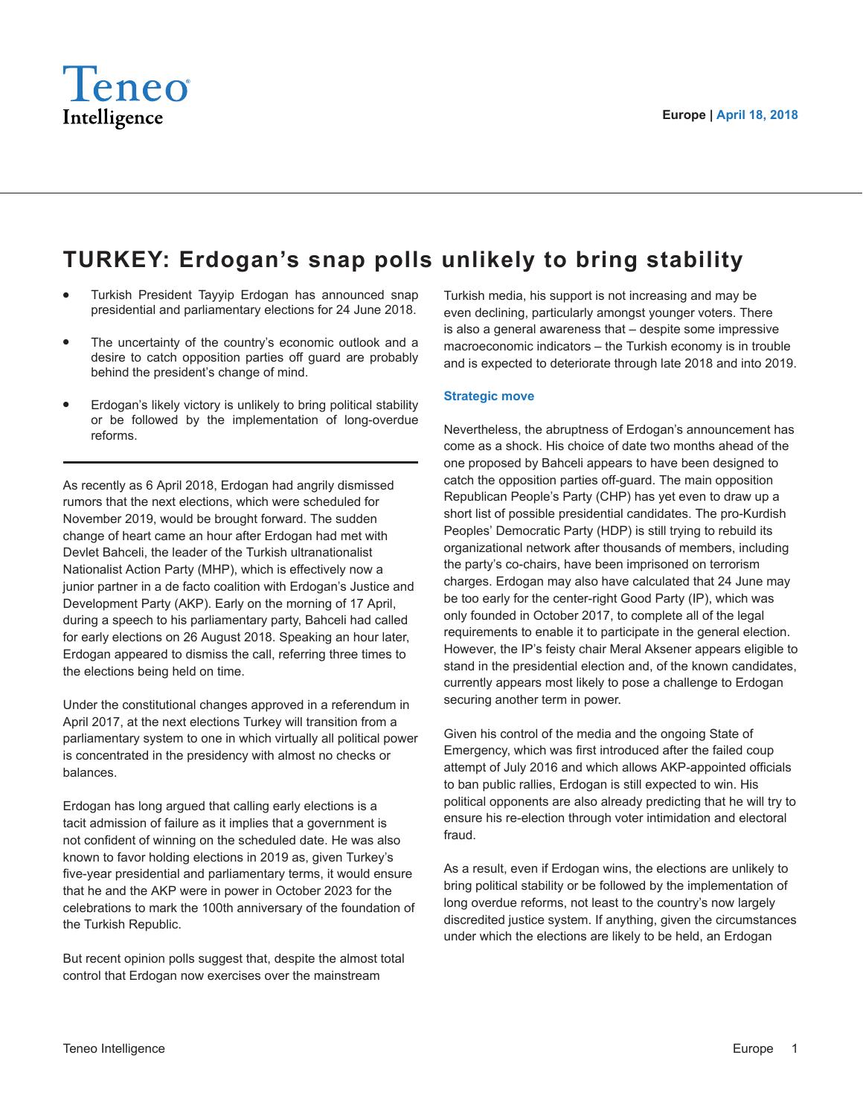

## **TURKEY: Erdogan's snap polls unlikely to bring stability**

- Turkish President Tayyip Erdogan has announced snap presidential and parliamentary elections for 24 June 2018.
- The uncertainty of the country's economic outlook and a desire to catch opposition parties off guard are probably behind the president's change of mind.
- Erdogan's likely victory is unlikely to bring political stability or be followed by the implementation of long-overdue reforms.

As recently as 6 April 2018, Erdogan had angrily dismissed rumors that the next elections, which were scheduled for November 2019, would be brought forward. The sudden change of heart came an hour after Erdogan had met with Devlet Bahceli, the leader of the Turkish ultranationalist Nationalist Action Party (MHP), which is effectively now a junior partner in a de facto coalition with Erdogan's Justice and Development Party (AKP). Early on the morning of 17 April, during a speech to his parliamentary party, Bahceli had called for early elections on 26 August 2018. Speaking an hour later, Erdogan appeared to dismiss the call, referring three times to the elections being held on time.

Under the constitutional changes approved in a referendum in April 2017, at the next elections Turkey will transition from a parliamentary system to one in which virtually all political power is concentrated in the presidency with almost no checks or balances.

Erdogan has long argued that calling early elections is a tacit admission of failure as it implies that a government is not confident of winning on the scheduled date. He was also known to favor holding elections in 2019 as, given Turkey's five-year presidential and parliamentary terms, it would ensure that he and the AKP were in power in October 2023 for the celebrations to mark the 100th anniversary of the foundation of the Turkish Republic.

But recent opinion polls suggest that, despite the almost total control that Erdogan now exercises over the mainstream

Turkish media, his support is not increasing and may be even declining, particularly amongst younger voters. There is also a general awareness that – despite some impressive macroeconomic indicators – the Turkish economy is in trouble and is expected to deteriorate through late 2018 and into 2019.

## **Strategic move**

Nevertheless, the abruptness of Erdogan's announcement has come as a shock. His choice of date two months ahead of the one proposed by Bahceli appears to have been designed to catch the opposition parties off-guard. The main opposition Republican People's Party (CHP) has yet even to draw up a short list of possible presidential candidates. The pro-Kurdish Peoples' Democratic Party (HDP) is still trying to rebuild its organizational network after thousands of members, including the party's co-chairs, have been imprisoned on terrorism charges. Erdogan may also have calculated that 24 June may be too early for the center-right Good Party (IP), which was only founded in October 2017, to complete all of the legal requirements to enable it to participate in the general election. However, the IP's feisty chair Meral Aksener appears eligible to stand in the presidential election and, of the known candidates, currently appears most likely to pose a challenge to Erdogan securing another term in power.

Given his control of the media and the ongoing State of Emergency, which was first introduced after the failed coup attempt of July 2016 and which allows AKP-appointed officials to ban public rallies, Erdogan is still expected to win. His political opponents are also already predicting that he will try to ensure his re-election through voter intimidation and electoral fraud.

As a result, even if Erdogan wins, the elections are unlikely to bring political stability or be followed by the implementation of long overdue reforms, not least to the country's now largely discredited justice system. If anything, given the circumstances under which the elections are likely to be held, an Erdogan